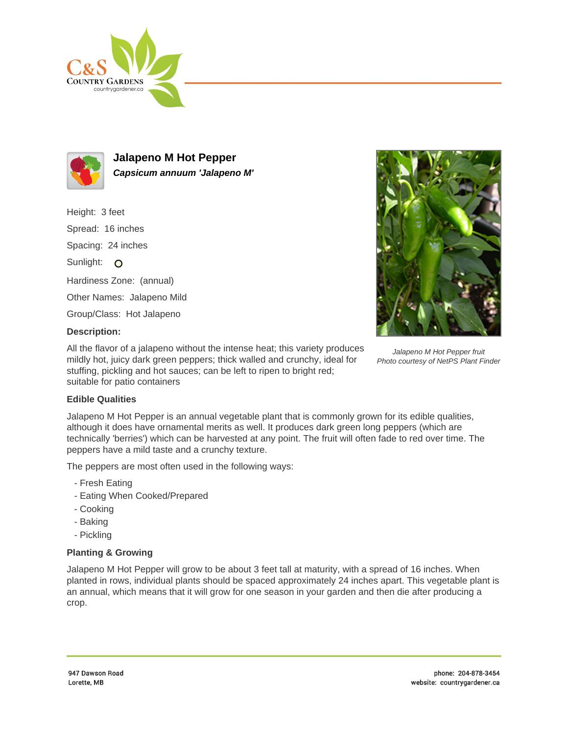



**Jalapeno M Hot Pepper Capsicum annuum 'Jalapeno M'**

Height: 3 feet Spread: 16 inches Spacing: 24 inches Sunlight: O Hardiness Zone: (annual) Other Names: Jalapeno Mild Group/Class: Hot Jalapeno



## Jalapeno M Hot Pepper fruit Photo courtesy of NetPS Plant Finder

All the flavor of a jalapeno without the intense heat; this variety produces mildly hot, juicy dark green peppers; thick walled and crunchy, ideal for stuffing, pickling and hot sauces; can be left to ripen to bright red; suitable for patio containers

## **Edible Qualities**

**Description:**

Jalapeno M Hot Pepper is an annual vegetable plant that is commonly grown for its edible qualities, although it does have ornamental merits as well. It produces dark green long peppers (which are technically 'berries') which can be harvested at any point. The fruit will often fade to red over time. The peppers have a mild taste and a crunchy texture.

The peppers are most often used in the following ways:

- Fresh Eating
- Eating When Cooked/Prepared
- Cooking
- Baking
- Pickling

## **Planting & Growing**

Jalapeno M Hot Pepper will grow to be about 3 feet tall at maturity, with a spread of 16 inches. When planted in rows, individual plants should be spaced approximately 24 inches apart. This vegetable plant is an annual, which means that it will grow for one season in your garden and then die after producing a crop.

947 Dawson Boad Lorette, MB